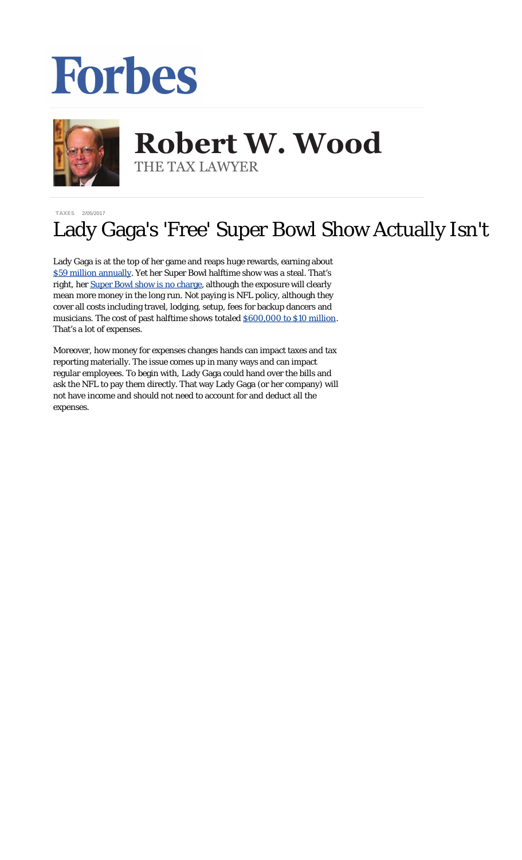## Forbes



## **Robert W. Wood Robert W. Wood** THE TAX LAWYER THE TAX LAWYER

[TAXES](http://www.forbes.com/taxes) 2/05/2017

## Lady Gaga's 'Free' Super Bowl Show Actually Isn't

Lady Gaga is at the top of her game and reaps huge rewards, earning about [\\$59 million annually](http://www.forbes.com/sites/maddieberg/2015/06/29/lady-gagas-earnings-59-million-in-2015/#37734a4b92d5). Yet her Super Bowl halftime show was a steal. That's right, her Super Bowl [show is no charge,](http://www.forbes.com/sites/zackomalleygreenburg/2017/02/03/why-lady-gaga-wont-be-paid-for-her-super-bowl-halftime-show/#5205fafc58aa) although the exposure will clearly mean more money in the long run. Not paying is NFL policy, although they cover all costs including travel, lodging, setup, fees for backup dancers and musicians. The cost of past halftime shows totaled [\\$600,000 to \\$10 million.](http://www.forbes.com/sites/jordanpassman/2017/01/23/the-nfl-wont-pay-lady-gaga-to-perform-at-the-super-bowl-halftime-show/#4e48c1c82553) That's a lot of expenses.

Moreover, how money for expenses changes hands can impact taxes and tax reporting materially. The issue comes up in many ways and can impact regular employees. To begin with, Lady Gaga could hand over the bills and ask the NFL to pay them directly. That way Lady Gaga (or her company) will not have income and should not need to account for and deduct all the expenses.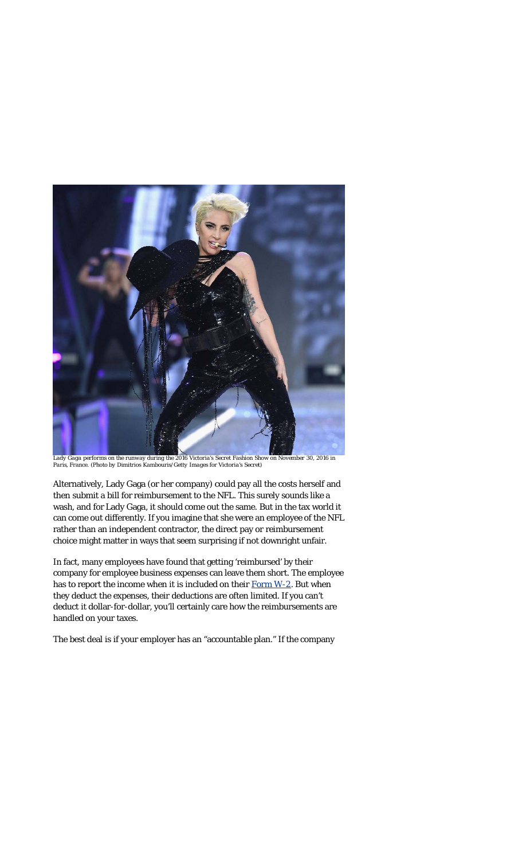

*Lady Gaga performs on the runway during the 2016 Victoria's Secret Fashion Show on November 30, 2016 in Paris, France. (Photo by Dimitrios Kambouris/Getty Images for Victoria's Secret)*

Alternatively, Lady Gaga (or her company) could pay all the costs herself and then submit a bill for reimbursement to the NFL. This surely sounds like a wash, and for Lady Gaga, it should come out the same. But in the tax world it can come out differently. If you imagine that she were an employee of the NFL rather than an independent contractor, the direct pay or reimbursement choice might matter in ways that seem surprising if not downright unfair.

In fact, many employees have found that getting 'reimbursed' by their company for employee business expenses can leave them short. The employee has to report the income when it is included on their [Form W-2](https://www.irs.gov/uac/about-form-w2). But when they deduct the expenses, their deductions are often limited. If you can't deduct it dollar-for-dollar, you'll certainly care how the reimbursements are handled on your taxes.

The best deal is if your employer has an "accountable plan." If the company